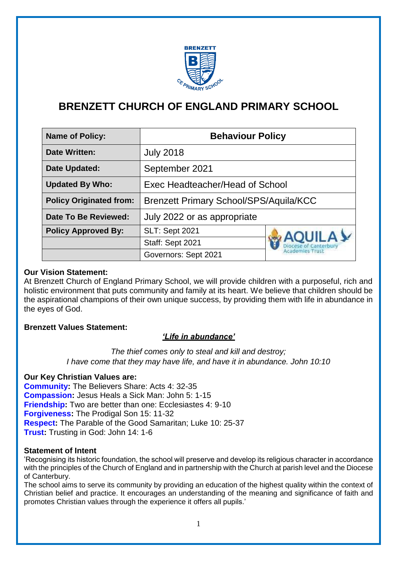

# **BRENZETT CHURCH OF ENGLAND PRIMARY SCHOOL**

| <b>Name of Policy:</b>         | <b>Behaviour Policy</b>                       |                                                           |
|--------------------------------|-----------------------------------------------|-----------------------------------------------------------|
| <b>Date Written:</b>           | <b>July 2018</b>                              |                                                           |
| <b>Date Updated:</b>           | September 2021                                |                                                           |
| <b>Updated By Who:</b>         | Exec Headteacher/Head of School               |                                                           |
| <b>Policy Originated from:</b> | <b>Brenzett Primary School/SPS/Aquila/KCC</b> |                                                           |
| Date To Be Reviewed:           | July 2022 or as appropriate                   |                                                           |
| <b>Policy Approved By:</b>     | <b>SLT: Sept 2021</b>                         | <b>AQUILA Y</b><br>Diocese of Canterbury<br>idemies Trusl |
|                                | Staff: Sept 2021                              |                                                           |
|                                | Governors: Sept 2021                          |                                                           |

## **Our Vision Statement:**

At Brenzett Church of England Primary School, we will provide children with a purposeful, rich and holistic environment that puts community and family at its heart. We believe that children should be the aspirational champions of their own unique success, by providing them with life in abundance in the eyes of God.

# **Brenzett Values Statement:**

# *'Life in abundance'*

*The thief comes only to steal and kill and destroy; I have come that they may have life, and have it in abundance. John 10:10*

# **Our Key Christian Values are:**

**Community:** The Believers Share: Acts 4: 32-35 **Compassion:** Jesus Heals a Sick Man: John 5: 1-15 **Friendship:** Two are better than one: Ecclesiastes 4: 9-10 **Forgiveness:** The Prodigal Son 15: 11-32 **Respect:** The Parable of the Good Samaritan; Luke 10: 25-37 **Trust:** Trusting in God: John 14: 1-6

### **Statement of Intent**

'Recognising its historic foundation, the school will preserve and develop its religious character in accordance with the principles of the Church of England and in partnership with the Church at parish level and the Diocese of Canterbury.

The school aims to serve its community by providing an education of the highest quality within the context of Christian belief and practice. It encourages an understanding of the meaning and significance of faith and promotes Christian values through the experience it offers all pupils.'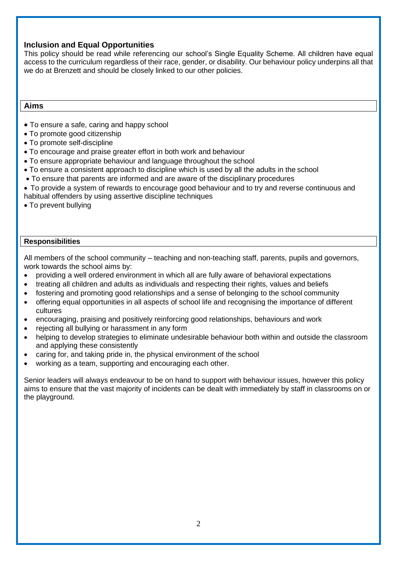### **Inclusion and Equal Opportunities**

This policy should be read while referencing our school's Single Equality Scheme. All children have equal access to the curriculum regardless of their race, gender, or disability. Our behaviour policy underpins all that we do at Brenzett and should be closely linked to our other policies.

### **Aims**

- To ensure a safe, caring and happy school
- To promote good citizenship
- To promote self-discipline
- To encourage and praise greater effort in both work and behaviour
- To ensure appropriate behaviour and language throughout the school
- To ensure a consistent approach to discipline which is used by all the adults in the school
- To ensure that parents are informed and are aware of the disciplinary procedures
- To provide a system of rewards to encourage good behaviour and to try and reverse continuous and
- habitual offenders by using assertive discipline techniques
- To prevent bullying

#### **Responsibilities**

All members of the school community – teaching and non-teaching staff, parents, pupils and governors, work towards the school aims by:

- providing a well ordered environment in which all are fully aware of behavioral expectations
- treating all children and adults as individuals and respecting their rights, values and beliefs
- fostering and promoting good relationships and a sense of belonging to the school community
- offering equal opportunities in all aspects of school life and recognising the importance of different cultures
- encouraging, praising and positively reinforcing good relationships, behaviours and work
- rejecting all bullying or harassment in any form
- helping to develop strategies to eliminate undesirable behaviour both within and outside the classroom and applying these consistently
- caring for, and taking pride in, the physical environment of the school
- working as a team, supporting and encouraging each other.

Senior leaders will always endeavour to be on hand to support with behaviour issues, however this policy aims to ensure that the vast majority of incidents can be dealt with immediately by staff in classrooms on or the playground.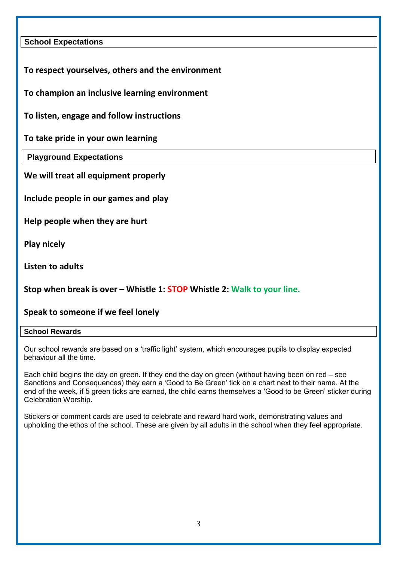# **School Expectations**

**To respect yourselves, others and the environment** 

**To champion an inclusive learning environment**

**To listen, engage and follow instructions** 

**To take pride in your own learning**

**Playground Expectations**

**We will treat all equipment properly** 

**Include people in our games and play** 

**Help people when they are hurt**

**Play nicely** 

**Listen to adults**

**Stop when break is over – Whistle 1: STOP Whistle 2: Walk to your line.** 

# **Speak to someone if we feel lonely**

### **School Rewards**

Our school rewards are based on a 'traffic light' system, which encourages pupils to display expected behaviour all the time.

Each child begins the day on green. If they end the day on green (without having been on red – see Sanctions and Consequences) they earn a 'Good to Be Green' tick on a chart next to their name. At the end of the week, if 5 green ticks are earned, the child earns themselves a 'Good to be Green' sticker during Celebration Worship.

Stickers or comment cards are used to celebrate and reward hard work, demonstrating values and upholding the ethos of the school. These are given by all adults in the school when they feel appropriate.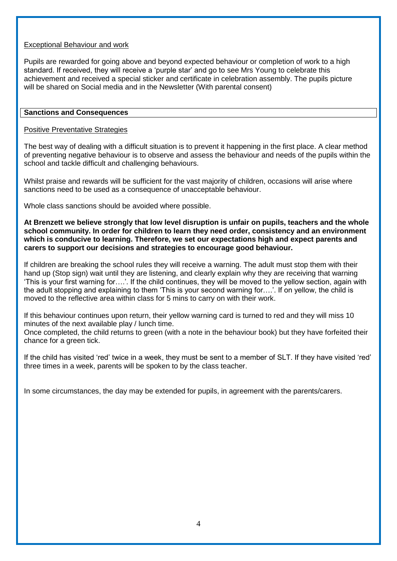### Exceptional Behaviour and work

Pupils are rewarded for going above and beyond expected behaviour or completion of work to a high standard. If received, they will receive a 'purple star' and go to see Mrs Young to celebrate this achievement and received a special sticker and certificate in celebration assembly. The pupils picture will be shared on Social media and in the Newsletter (With parental consent)

#### **Sanctions and Consequences**

### Positive Preventative Strategies

The best way of dealing with a difficult situation is to prevent it happening in the first place. A clear method of preventing negative behaviour is to observe and assess the behaviour and needs of the pupils within the school and tackle difficult and challenging behaviours.

Whilst praise and rewards will be sufficient for the vast majority of children, occasions will arise where sanctions need to be used as a consequence of unacceptable behaviour.

Whole class sanctions should be avoided where possible.

**At Brenzett we believe strongly that low level disruption is unfair on pupils, teachers and the whole school community. In order for children to learn they need order, consistency and an environment which is conducive to learning. Therefore, we set our expectations high and expect parents and carers to support our decisions and strategies to encourage good behaviour.**

If children are breaking the school rules they will receive a warning. The adult must stop them with their hand up (Stop sign) wait until they are listening, and clearly explain why they are receiving that warning 'This is your first warning for….'. If the child continues, they will be moved to the yellow section, again with the adult stopping and explaining to them 'This is your second warning for….'. If on yellow, the child is moved to the reflective area within class for 5 mins to carry on with their work.

If this behaviour continues upon return, their yellow warning card is turned to red and they will miss 10 minutes of the next available play / lunch time.

Once completed, the child returns to green (with a note in the behaviour book) but they have forfeited their chance for a green tick.

If the child has visited 'red' twice in a week, they must be sent to a member of SLT. If they have visited 'red' three times in a week, parents will be spoken to by the class teacher.

In some circumstances, the day may be extended for pupils, in agreement with the parents/carers.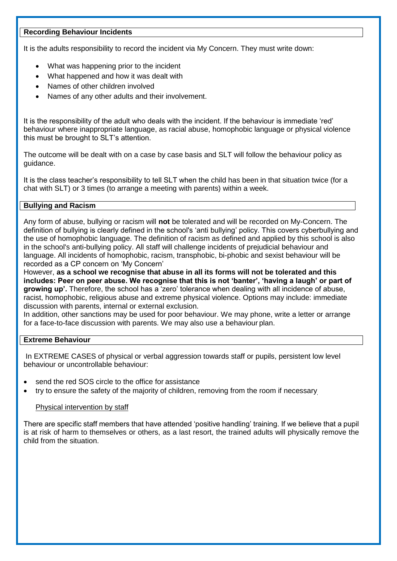### **Recording Behaviour Incidents**

It is the adults responsibility to record the incident via My Concern. They must write down:

- What was happening prior to the incident
- What happened and how it was dealt with
- Names of other children involved
- Names of any other adults and their involvement.

It is the responsibility of the adult who deals with the incident. If the behaviour is immediate 'red' behaviour where inappropriate language, as racial abuse, homophobic language or physical violence this must be brought to SLT's attention.

The outcome will be dealt with on a case by case basis and SLT will follow the behaviour policy as guidance.

It is the class teacher's responsibility to tell SLT when the child has been in that situation twice (for a chat with SLT) or 3 times (to arrange a meeting with parents) within a week.

#### **Bullying and Racism**

Any form of abuse, bullying or racism will **not** be tolerated and will be recorded on My-Concern. The definition of bullying is clearly defined in the school's 'anti bullying' policy. This covers cyberbullying and the use of homophobic language. The definition of racism as defined and applied by this school is also in the school's anti-bullying policy. All staff will challenge incidents of prejudicial behaviour and language. All incidents of homophobic, racism, transphobic, bi-phobic and sexist behaviour will be recorded as a CP concern on 'My Concern'

However, **as a school we recognise that abuse in all its forms will not be tolerated and this includes: Peer on peer abuse. We recognise that this is not 'banter', 'having a laugh' or part of growing up'.** Therefore, the school has a 'zero' tolerance when dealing with all incidence of abuse, racist, homophobic, religious abuse and extreme physical violence. Options may include: immediate discussion with parents, internal or external exclusion.

In addition, other sanctions may be used for poor behaviour. We may phone, write a letter or arrange for a face-to-face discussion with parents. We may also use a behaviour plan.

#### **Extreme Behaviour**

In EXTREME CASES of physical or verbal aggression towards staff or pupils, persistent low level behaviour or uncontrollable behaviour:

- send the red SOS circle to the office for assistance
- try to ensure the safety of the majority of children, removing from the room if necessary

#### Physical intervention by staff

There are specific staff members that have attended 'positive handling' training. If we believe that a pupil is at risk of harm to themselves or others, as a last resort, the trained adults will physically remove the child from the situation.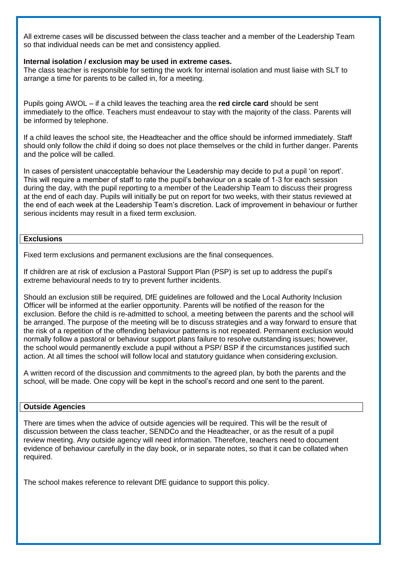All extreme cases will be discussed between the class teacher and a member of the Leadership Team so that individual needs can be met and consistency applied.

#### **Internal isolation / exclusion may be used in extreme cases.**

The class teacher is responsible for setting the work for internal isolation and must liaise with SLT to arrange a time for parents to be called in, for a meeting.

Pupils going AWOL – if a child leaves the teaching area the **red circle card** should be sent immediately to the office. Teachers must endeavour to stay with the majority of the class. Parents will be informed by telephone.

If a child leaves the school site, the Headteacher and the office should be informed immediately. Staff should only follow the child if doing so does not place themselves or the child in further danger. Parents and the police will be called.

In cases of persistent unacceptable behaviour the Leadership may decide to put a pupil 'on report'. This will require a member of staff to rate the pupil's behaviour on a scale of 1-3 for each session during the day, with the pupil reporting to a member of the Leadership Team to discuss their progress at the end of each day. Pupils will initially be put on report for two weeks, with their status reviewed at the end of each week at the Leadership Team's discretion. Lack of improvement in behaviour or further serious incidents may result in a fixed term exclusion.

#### **Exclusions**

Fixed term exclusions and permanent exclusions are the final consequences.

If children are at risk of exclusion a Pastoral Support Plan (PSP) is set up to address the pupil's extreme behavioural needs to try to prevent further incidents.

Should an exclusion still be required, DfE guidelines are followed and the Local Authority Inclusion Officer will be informed at the earlier opportunity. Parents will be notified of the reason for the exclusion. Before the child is re-admitted to school, a meeting between the parents and the school will be arranged. The purpose of the meeting will be to discuss strategies and a way forward to ensure that the risk of a repetition of the offending behaviour patterns is not repeated. Permanent exclusion would normally follow a pastoral or behaviour support plans failure to resolve outstanding issues; however, the school would permanently exclude a pupil without a PSP/ BSP if the circumstances justified such action. At all times the school will follow local and statutory guidance when considering exclusion.

A written record of the discussion and commitments to the agreed plan, by both the parents and the school, will be made. One copy will be kept in the school's record and one sent to the parent.

#### **Outside Agencies**

There are times when the advice of outside agencies will be required. This will be the result of discussion between the class teacher, SENDCo and the Headteacher, or as the result of a pupil review meeting. Any outside agency will need information. Therefore, teachers need to document evidence of behaviour carefully in the day book, or in separate notes, so that it can be collated when required.

The school makes reference to relevant DfE guidance to support this policy.